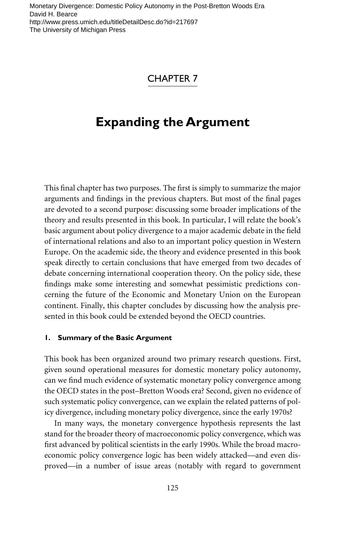# CHAPTER 7

# **Expanding the Argument**

This final chapter has two purposes. The first is simply to summarize the major arguments and findings in the previous chapters. But most of the final pages are devoted to a second purpose: discussing some broader implications of the theory and results presented in this book. In particular, I will relate the book's basic argument about policy divergence to a major academic debate in the field of international relations and also to an important policy question in Western Europe. On the academic side, the theory and evidence presented in this book speak directly to certain conclusions that have emerged from two decades of debate concerning international cooperation theory. On the policy side, these findings make some interesting and somewhat pessimistic predictions concerning the future of the Economic and Monetary Union on the European continent. Finally, this chapter concludes by discussing how the analysis presented in this book could be extended beyond the OECD countries.

### **1. Summary of the Basic Argument**

This book has been organized around two primary research questions. First, given sound operational measures for domestic monetary policy autonomy, can we find much evidence of systematic monetary policy convergence among the OECD states in the post–Bretton Woods era? Second, given no evidence of such systematic policy convergence, can we explain the related patterns of policy divergence, including monetary policy divergence, since the early 1970s?

In many ways, the monetary convergence hypothesis represents the last stand for the broader theory of macroeconomic policy convergence, which was first advanced by political scientists in the early 1990s. While the broad macroeconomic policy convergence logic has been widely attacked—and even disproved—in a number of issue areas (notably with regard to government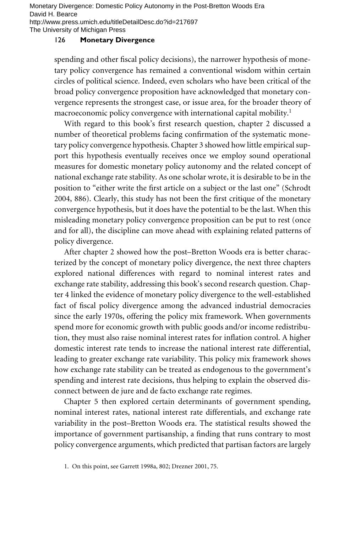## 126 **Monetary Divergence**

spending and other fiscal policy decisions), the narrower hypothesis of monetary policy convergence has remained a conventional wisdom within certain circles of political science. Indeed, even scholars who have been critical of the broad policy convergence proposition have acknowledged that monetary convergence represents the strongest case, or issue area, for the broader theory of macroeconomic policy convergence with international capital mobility.<sup>1</sup>

With regard to this book's first research question, chapter 2 discussed a number of theoretical problems facing confirmation of the systematic monetary policy convergence hypothesis. Chapter 3 showed how little empirical support this hypothesis eventually receives once we employ sound operational measures for domestic monetary policy autonomy and the related concept of national exchange rate stability. As one scholar wrote, it is desirable to be in the position to "either write the first article on a subject or the last one" (Schrodt 2004, 886). Clearly, this study has not been the first critique of the monetary convergence hypothesis, but it does have the potential to be the last. When this misleading monetary policy convergence proposition can be put to rest (once and for all), the discipline can move ahead with explaining related patterns of policy divergence.

After chapter 2 showed how the post–Bretton Woods era is better characterized by the concept of monetary policy divergence, the next three chapters explored national differences with regard to nominal interest rates and exchange rate stability, addressing this book's second research question. Chapter 4 linked the evidence of monetary policy divergence to the well-established fact of fiscal policy divergence among the advanced industrial democracies since the early 1970s, offering the policy mix framework. When governments spend more for economic growth with public goods and/or income redistribution, they must also raise nominal interest rates for inflation control. A higher domestic interest rate tends to increase the national interest rate differential, leading to greater exchange rate variability. This policy mix framework shows how exchange rate stability can be treated as endogenous to the government's spending and interest rate decisions, thus helping to explain the observed disconnect between de jure and de facto exchange rate regimes.

Chapter 5 then explored certain determinants of government spending, nominal interest rates, national interest rate differentials, and exchange rate variability in the post–Bretton Woods era. The statistical results showed the importance of government partisanship, a finding that runs contrary to most policy convergence arguments, which predicted that partisan factors are largely

<sup>1.</sup> On this point, see Garrett 1998a, 802; Drezner 2001, 75.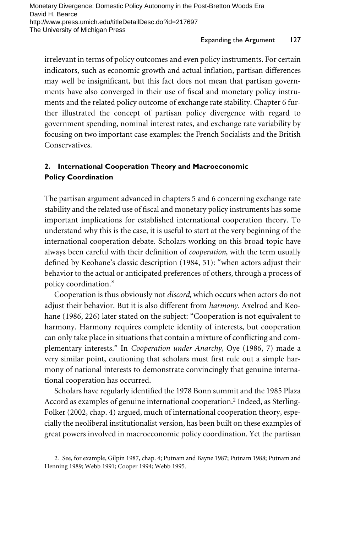### Expanding the Argument 127

irrelevant in terms of policy outcomes and even policy instruments. For certain indicators, such as economic growth and actual inflation, partisan differences may well be insignificant, but this fact does not mean that partisan governments have also converged in their use of fiscal and monetary policy instruments and the related policy outcome of exchange rate stability. Chapter 6 further illustrated the concept of partisan policy divergence with regard to government spending, nominal interest rates, and exchange rate variability by focusing on two important case examples: the French Socialists and the British Conservatives.

# **2. International Cooperation Theory and Macroeconomic Policy Coordination**

The partisan argument advanced in chapters 5 and 6 concerning exchange rate stability and the related use of fiscal and monetary policy instruments has some important implications for established international cooperation theory. To understand why this is the case, it is useful to start at the very beginning of the international cooperation debate. Scholars working on this broad topic have always been careful with their definition of *cooperation*, with the term usually defined by Keohane's classic description (1984, 51): "when actors adjust their behavior to the actual or anticipated preferences of others, through a process of policy coordination."

Cooperation is thus obviously not *discord,* which occurs when actors do not adjust their behavior. But it is also different from *harmony.* Axelrod and Keohane (1986, 226) later stated on the subject: "Cooperation is not equivalent to harmony. Harmony requires complete identity of interests, but cooperation can only take place in situations that contain a mixture of conflicting and complementary interests." In *Cooperation under Anarchy,* Oye (1986, 7) made a very similar point, cautioning that scholars must first rule out a simple harmony of national interests to demonstrate convincingly that genuine international cooperation has occurred.

Scholars have regularly identified the 1978 Bonn summit and the 1985 Plaza Accord as examples of genuine international cooperation.<sup>2</sup> Indeed, as Sterling-Folker (2002, chap. 4) argued, much of international cooperation theory, especially the neoliberal institutionalist version, has been built on these examples of great powers involved in macroeconomic policy coordination. Yet the partisan

<sup>2.</sup> See, for example, Gilpin 1987, chap. 4; Putnam and Bayne 1987; Putnam 1988; Putnam and Henning 1989; Webb 1991; Cooper 1994; Webb 1995.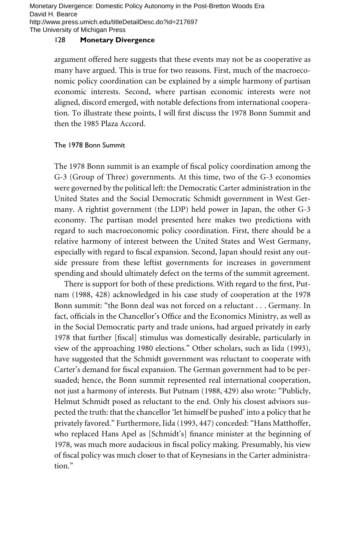# 128 **Monetary Divergence**

argument offered here suggests that these events may not be as cooperative as many have argued. This is true for two reasons. First, much of the macroeconomic policy coordination can be explained by a simple harmony of partisan economic interests. Second, where partisan economic interests were not aligned, discord emerged, with notable defections from international cooperation. To illustrate these points, I will first discuss the 1978 Bonn Summit and then the 1985 Plaza Accord.

### The 1978 Bonn Summit

The 1978 Bonn summit is an example of fiscal policy coordination among the G-3 (Group of Three) governments. At this time, two of the G-3 economies were governed by the political left: the Democratic Carter administration in the United States and the Social Democratic Schmidt government in West Germany. A rightist government (the LDP) held power in Japan, the other G-3 economy. The partisan model presented here makes two predictions with regard to such macroeconomic policy coordination. First, there should be a relative harmony of interest between the United States and West Germany, especially with regard to fiscal expansion. Second, Japan should resist any outside pressure from these leftist governments for increases in government spending and should ultimately defect on the terms of the summit agreement.

There is support for both of these predictions. With regard to the first, Putnam (1988, 428) acknowledged in his case study of cooperation at the 1978 Bonn summit: "the Bonn deal was not forced on a reluctant . . . Germany. In fact, officials in the Chancellor's Office and the Economics Ministry, as well as in the Social Democratic party and trade unions, had argued privately in early 1978 that further [fiscal] stimulus was domestically desirable, particularly in view of the approaching 1980 elections." Other scholars, such as Iida (1993), have suggested that the Schmidt government was reluctant to cooperate with Carter's demand for fiscal expansion. The German government had to be persuaded; hence, the Bonn summit represented real international cooperation, not just a harmony of interests. But Putnam (1988, 429) also wrote: "Publicly, Helmut Schmidt posed as reluctant to the end. Only his closest advisors suspected the truth: that the chancellor 'let himself be pushed' into a policy that he privately favored." Furthermore, Iida (1993, 447) conceded: "Hans Matthoffer, who replaced Hans Apel as [Schmidt's] finance minister at the beginning of 1978, was much more audacious in fiscal policy making. Presumably, his view of fiscal policy was much closer to that of Keynesians in the Carter administration<sup>"</sup>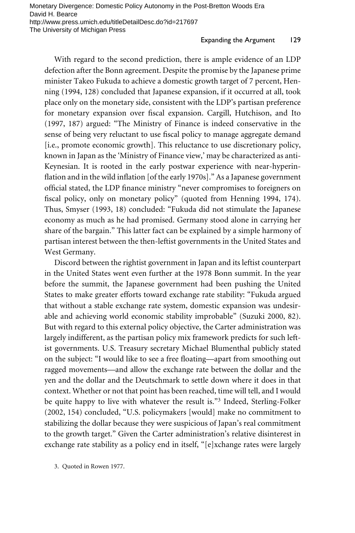### Expanding the Argument 129

With regard to the second prediction, there is ample evidence of an LDP defection after the Bonn agreement. Despite the promise by the Japanese prime minister Takeo Fukuda to achieve a domestic growth target of 7 percent, Henning (1994, 128) concluded that Japanese expansion, if it occurred at all, took place only on the monetary side, consistent with the LDP's partisan preference for monetary expansion over fiscal expansion. Cargill, Hutchison, and Ito (1997, 187) argued: "The Ministry of Finance is indeed conservative in the sense of being very reluctant to use fiscal policy to manage aggregate demand [i.e., promote economic growth]. This reluctance to use discretionary policy, known in Japan as the 'Ministry of Finance view,' may be characterized as anti-Keynesian. It is rooted in the early postwar experience with near-hyperin flation and in the wild inflation [of the early 1970s]." As a Japanese government official stated, the LDP finance ministry "never compromises to foreigners on fiscal policy, only on monetary policy" (quoted from Henning 1994, 174). Thus, Smyser (1993, 18) concluded: "Fukuda did not stimulate the Japanese economy as much as he had promised. Germany stood alone in carrying her share of the bargain." This latter fact can be explained by a simple harmony of partisan interest between the then-leftist governments in the United States and West Germany.

Discord between the rightist government in Japan and its leftist counterpart in the United States went even further at the 1978 Bonn summit. In the year before the summit, the Japanese government had been pushing the United States to make greater efforts toward exchange rate stability: "Fukuda argued that without a stable exchange rate system, domestic expansion was undesirable and achieving world economic stability improbable" (Suzuki 2000, 82). But with regard to this external policy objective, the Carter administration was largely indifferent, as the partisan policy mix framework predicts for such leftist governments. U.S. Treasury secretary Michael Blumenthal publicly stated on the subject: "I would like to see a free floating—apart from smoothing out ragged movements—and allow the exchange rate between the dollar and the yen and the dollar and the Deutschmark to settle down where it does in that context. Whether or not that point has been reached, time will tell, and I would be quite happy to live with whatever the result is."3 Indeed, Sterling-Folker (2002, 154) concluded, "U.S. policymakers [would] make no commitment to stabilizing the dollar because they were suspicious of Japan's real commitment to the growth target." Given the Carter administration's relative disinterest in exchange rate stability as a policy end in itself, "[e]xchange rates were largely

3. Quoted in Rowen 1977.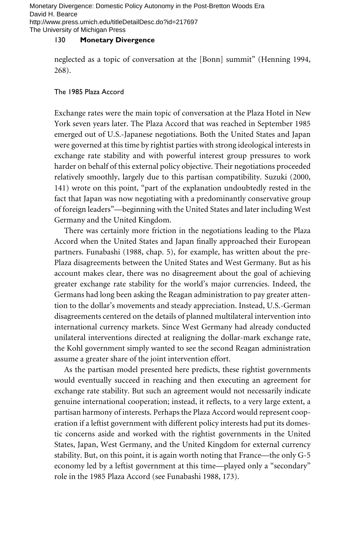# 130 **Monetary Divergence**

neglected as a topic of conversation at the [Bonn] summit" (Henning 1994, 268).

### The 1985 Plaza Accord

Exchange rates were the main topic of conversation at the Plaza Hotel in New York seven years later. The Plaza Accord that was reached in September 1985 emerged out of U.S.-Japanese negotiations. Both the United States and Japan were governed at this time by rightist parties with strong ideological interests in exchange rate stability and with powerful interest group pressures to work harder on behalf of this external policy objective. Their negotiations proceeded relatively smoothly, largely due to this partisan compatibility. Suzuki (2000, 141) wrote on this point, "part of the explanation undoubtedly rested in the fact that Japan was now negotiating with a predominantly conservative group of foreign leaders"—beginning with the United States and later including West Germany and the United Kingdom.

There was certainly more friction in the negotiations leading to the Plaza Accord when the United States and Japan finally approached their European partners. Funabashi (1988, chap. 5), for example, has written about the pre-Plaza disagreements between the United States and West Germany. But as his account makes clear, there was no disagreement about the goal of achieving greater exchange rate stability for the world's major currencies. Indeed, the Germans had long been asking the Reagan administration to pay greater attention to the dollar's movements and steady appreciation. Instead, U.S.-German disagreements centered on the details of planned multilateral intervention into international currency markets. Since West Germany had already conducted unilateral interventions directed at realigning the dollar-mark exchange rate, the Kohl government simply wanted to see the second Reagan administration assume a greater share of the joint intervention effort.

As the partisan model presented here predicts, these rightist governments would eventually succeed in reaching and then executing an agreement for exchange rate stability. But such an agreement would not necessarily indicate genuine international cooperation; instead, it reflects, to a very large extent, a partisan harmony of interests. Perhaps the Plaza Accord would represent cooperation if a leftist government with different policy interests had put its domestic concerns aside and worked with the rightist governments in the United States, Japan, West Germany, and the United Kingdom for external currency stability. But, on this point, it is again worth noting that France—the only G-5 economy led by a leftist government at this time—played only a "secondary" role in the 1985 Plaza Accord (see Funabashi 1988, 173).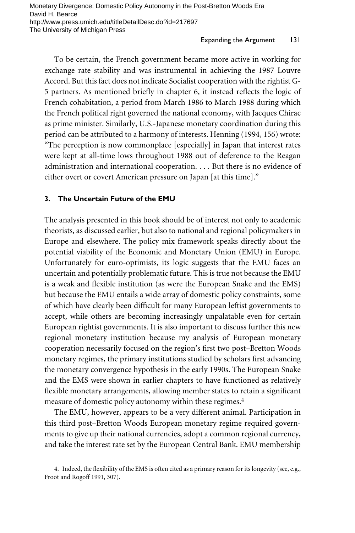#### Expanding the Argument 131

To be certain, the French government became more active in working for exchange rate stability and was instrumental in achieving the 1987 Louvre Accord. But this fact does not indicate Socialist cooperation with the rightist G-5 partners. As mentioned briefly in chapter 6, it instead reflects the logic of French cohabitation, a period from March 1986 to March 1988 during which the French political right governed the national economy, with Jacques Chirac as prime minister. Similarly, U.S.-Japanese monetary coordination during this period can be attributed to a harmony of interests. Henning (1994, 156) wrote: "The perception is now commonplace [especially] in Japan that interest rates were kept at all-time lows throughout 1988 out of deference to the Reagan administration and international cooperation. . . . But there is no evidence of either overt or covert American pressure on Japan [at this time]."

### **3. The Uncertain Future of the EMU**

The analysis presented in this book should be of interest not only to academic theorists, as discussed earlier, but also to national and regional policymakers in Europe and elsewhere. The policy mix framework speaks directly about the potential viability of the Economic and Monetary Union (EMU) in Europe. Unfortunately for euro-optimists, its logic suggests that the EMU faces an uncertain and potentially problematic future. This is true not because the EMU is a weak and flexible institution (as were the European Snake and the EMS) but because the EMU entails a wide array of domestic policy constraints, some of which have clearly been difficult for many European leftist governments to accept, while others are becoming increasingly unpalatable even for certain European rightist governments. It is also important to discuss further this new regional monetary institution because my analysis of European monetary cooperation necessarily focused on the region's first two post-Bretton Woods monetary regimes, the primary institutions studied by scholars first advancing the monetary convergence hypothesis in the early 1990s. The European Snake and the EMS were shown in earlier chapters to have functioned as relatively flexible monetary arrangements, allowing member states to retain a significant measure of domestic policy autonomy within these regimes.<sup>4</sup>

The EMU, however, appears to be a very different animal. Participation in this third post–Bretton Woods European monetary regime required governments to give up their national currencies, adopt a common regional currency, and take the interest rate set by the European Central Bank. EMU membership

<sup>4.</sup> Indeed, the flexibility of the EMS is often cited as a primary reason for its longevity (see, e.g., Froot and Rogoff 1991, 307).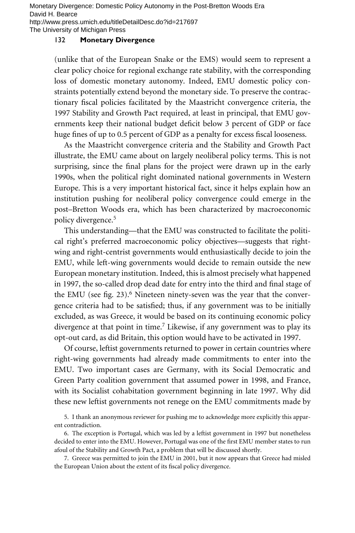# 132 **Monetary Divergence**

(unlike that of the European Snake or the EMS) would seem to represent a clear policy choice for regional exchange rate stability, with the corresponding loss of domestic monetary autonomy. Indeed, EMU domestic policy constraints potentially extend beyond the monetary side. To preserve the contractionary fiscal policies facilitated by the Maastricht convergence criteria, the 1997 Stability and Growth Pact required, at least in principal, that EMU governments keep their national budget deficit below 3 percent of GDP or face huge fines of up to 0.5 percent of GDP as a penalty for excess fiscal looseness.

As the Maastricht convergence criteria and the Stability and Growth Pact illustrate, the EMU came about on largely neoliberal policy terms. This is not surprising, since the final plans for the project were drawn up in the early 1990s, when the political right dominated national governments in Western Europe. This is a very important historical fact, since it helps explain how an institution pushing for neoliberal policy convergence could emerge in the post–Bretton Woods era, which has been characterized by macroeconomic policy divergence.5

This understanding—that the EMU was constructed to facilitate the political right's preferred macroeconomic policy objectives—suggests that rightwing and right-centrist governments would enthusiastically decide to join the EMU, while left-wing governments would decide to remain outside the new European monetary institution. Indeed, this is almost precisely what happened in 1997, the so-called drop dead date for entry into the third and final stage of the EMU (see fig. 23).<sup>6</sup> Nineteen ninety-seven was the year that the convergence criteria had to be satisfied; thus, if any government was to be initially excluded, as was Greece, it would be based on its continuing economic policy divergence at that point in time.<sup>7</sup> Likewise, if any government was to play its opt-out card, as did Britain, this option would have to be activated in 1997.

Of course, leftist governments returned to power in certain countries where right-wing governments had already made commitments to enter into the EMU. Two important cases are Germany, with its Social Democratic and Green Party coalition government that assumed power in 1998, and France, with its Socialist cohabitation government beginning in late 1997. Why did these new leftist governments not renege on the EMU commitments made by

5. I thank an anonymous reviewer for pushing me to acknowledge more explicitly this apparent contradiction.

6. The exception is Portugal, which was led by a leftist government in 1997 but nonetheless decided to enter into the EMU. However, Portugal was one of the first EMU member states to run afoul of the Stability and Growth Pact, a problem that will be discussed shortly.

7. Greece was permitted to join the EMU in 2001, but it now appears that Greece had misled the European Union about the extent of its fiscal policy divergence.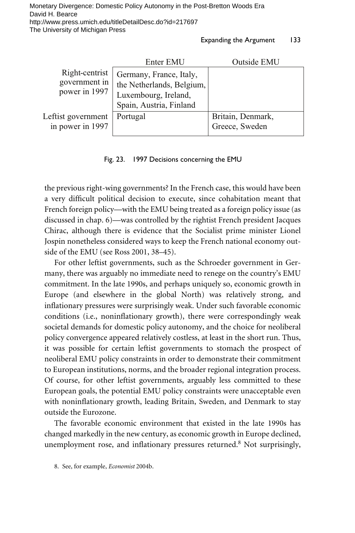#### Expanding the Argument 133

|                                                  | Enter EMU                                                                                               | Outside EMU                         |
|--------------------------------------------------|---------------------------------------------------------------------------------------------------------|-------------------------------------|
| Right-centrist<br>government in<br>power in 1997 | Germany, France, Italy,<br>the Netherlands, Belgium,<br>Luxembourg, Ireland,<br>Spain, Austria, Finland |                                     |
| Leftist government<br>in power in 1997           | Portugal                                                                                                | Britain, Denmark,<br>Greece, Sweden |

Fig. 23. 1997 Decisions concerning the EMU

the previous right-wing governments? In the French case, this would have been a very difficult political decision to execute, since cohabitation meant that French foreign policy—with the EMU being treated as a foreign policy issue (as discussed in chap. 6)—was controlled by the rightist French president Jacques Chirac, although there is evidence that the Socialist prime minister Lionel Jospin nonetheless considered ways to keep the French national economy outside of the EMU (see Ross 2001, 38–45).

For other leftist governments, such as the Schroeder government in Germany, there was arguably no immediate need to renege on the country's EMU commitment. In the late 1990s, and perhaps uniquely so, economic growth in Europe (and elsewhere in the global North) was relatively strong, and inflationary pressures were surprisingly weak. Under such favorable economic conditions (i.e., noninflationary growth), there were correspondingly weak societal demands for domestic policy autonomy, and the choice for neoliberal policy convergence appeared relatively costless, at least in the short run. Thus, it was possible for certain leftist governments to stomach the prospect of neoliberal EMU policy constraints in order to demonstrate their commitment to European institutions, norms, and the broader regional integration process. Of course, for other leftist governments, arguably less committed to these European goals, the potential EMU policy constraints were unacceptable even with noninflationary growth, leading Britain, Sweden, and Denmark to stay outside the Eurozone.

The favorable economic environment that existed in the late 1990s has changed markedly in the new century, as economic growth in Europe declined, unemployment rose, and inflationary pressures returned.<sup>8</sup> Not surprisingly,

<sup>8.</sup> See, for example, *Economist* 2004b.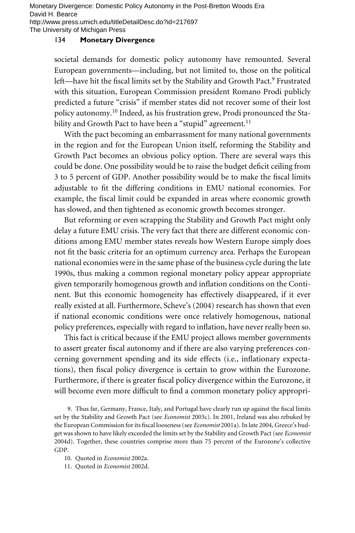# 134 **Monetary Divergence**

societal demands for domestic policy autonomy have remounted. Several European governments—including, but not limited to, those on the political left—have hit the fiscal limits set by the Stability and Growth Pact.<sup>9</sup> Frustrated with this situation, European Commission president Romano Prodi publicly predicted a future "crisis" if member states did not recover some of their lost policy autonomy.10 Indeed, as his frustration grew, Prodi pronounced the Stability and Growth Pact to have been a "stupid" agreement.<sup>11</sup>

With the pact becoming an embarrassment for many national governments in the region and for the European Union itself, reforming the Stability and Growth Pact becomes an obvious policy option. There are several ways this could be done. One possibility would be to raise the budget deficit ceiling from 3 to 5 percent of GDP. Another possibility would be to make the fiscal limits adjustable to fit the differing conditions in EMU national economies. For example, the fiscal limit could be expanded in areas where economic growth has slowed, and then tightened as economic growth becomes stronger.

But reforming or even scrapping the Stability and Growth Pact might only delay a future EMU crisis. The very fact that there are different economic conditions among EMU member states reveals how Western Europe simply does not fit the basic criteria for an optimum currency area. Perhaps the European national economies were in the same phase of the business cycle during the late 1990s, thus making a common regional monetary policy appear appropriate given temporarily homogenous growth and inflation conditions on the Continent. But this economic homogeneity has effectively disappeared, if it ever really existed at all. Furthermore, Scheve's (2004) research has shown that even if national economic conditions were once relatively homogenous, national policy preferences, especially with regard to inflation, have never really been so.

This fact is critical because if the EMU project allows member governments to assert greater fiscal autonomy and if there are also varying preferences concerning government spending and its side effects (i.e., inflationary expectations), then fiscal policy divergence is certain to grow within the Eurozone. Furthermore, if there is greater fiscal policy divergence within the Eurozone, it will become even more difficult to find a common monetary policy appropri-

9. Thus far, Germany, France, Italy, and Portugal have clearly run up against the fiscal limits set by the Stability and Growth Pact (see *Economist* 2003c). In 2001, Ireland was also rebuked by the European Commission for its fiscal looseness (see *Economist* 2001a). In late 2004, Greece's budget was shown to have likely exceeded the limits set by the Stability and Growth Pact (see *Economist* 2004d). Together, these countries comprise more than 75 percent of the Eurozone's collective GDP.

10. Quoted in *Economist* 2002a.

11. Quoted in *Economist* 2002d.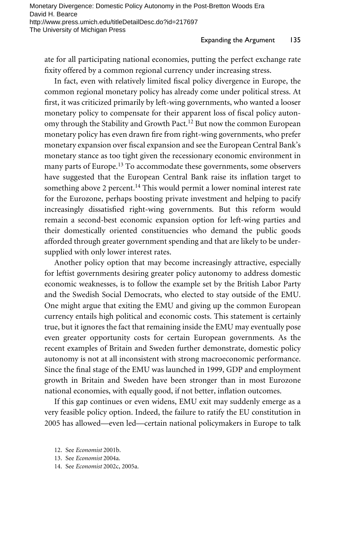ate for all participating national economies, putting the perfect exchange rate fixity offered by a common regional currency under increasing stress.

In fact, even with relatively limited fiscal policy divergence in Europe, the common regional monetary policy has already come under political stress. At first, it was criticized primarily by left-wing governments, who wanted a looser monetary policy to compensate for their apparent loss of fiscal policy autonomy through the Stability and Growth Pact.<sup>12</sup> But now the common European monetary policy has even drawn fire from right-wing governments, who prefer monetary expansion over fiscal expansion and see the European Central Bank's monetary stance as too tight given the recessionary economic environment in many parts of Europe.<sup>13</sup> To accommodate these governments, some observers have suggested that the European Central Bank raise its inflation target to something above 2 percent.<sup>14</sup> This would permit a lower nominal interest rate for the Eurozone, perhaps boosting private investment and helping to pacify increasingly dissatisfied right-wing governments. But this reform would remain a second-best economic expansion option for left-wing parties and their domestically oriented constituencies who demand the public goods afforded through greater government spending and that are likely to be undersupplied with only lower interest rates.

Another policy option that may become increasingly attractive, especially for leftist governments desiring greater policy autonomy to address domestic economic weaknesses, is to follow the example set by the British Labor Party and the Swedish Social Democrats, who elected to stay outside of the EMU. One might argue that exiting the EMU and giving up the common European currency entails high political and economic costs. This statement is certainly true, but it ignores the fact that remaining inside the EMU may eventually pose even greater opportunity costs for certain European governments. As the recent examples of Britain and Sweden further demonstrate, domestic policy autonomy is not at all inconsistent with strong macroeconomic performance. Since the final stage of the EMU was launched in 1999, GDP and employment growth in Britain and Sweden have been stronger than in most Eurozone national economies, with equally good, if not better, inflation outcomes.

If this gap continues or even widens, EMU exit may suddenly emerge as a very feasible policy option. Indeed, the failure to ratify the EU constitution in 2005 has allowed—even led—certain national policymakers in Europe to talk

14. See *Economist* 2002c, 2005a.

<sup>12.</sup> See *Economist* 2001b.

<sup>13.</sup> See *Economist* 2004a.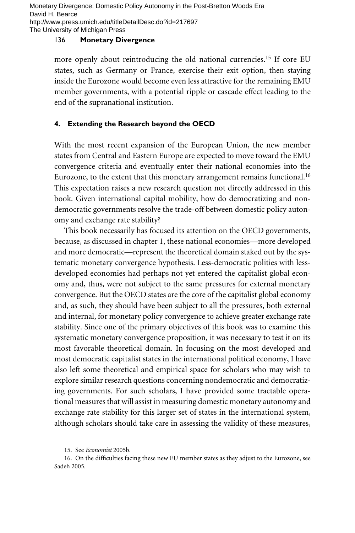# 136 **Monetary Divergence**

more openly about reintroducing the old national currencies.15 If core EU states, such as Germany or France, exercise their exit option, then staying inside the Eurozone would become even less attractive for the remaining EMU member governments, with a potential ripple or cascade effect leading to the end of the supranational institution.

### **4. Extending the Research beyond the OECD**

With the most recent expansion of the European Union, the new member states from Central and Eastern Europe are expected to move toward the EMU convergence criteria and eventually enter their national economies into the Eurozone, to the extent that this monetary arrangement remains functional.<sup>16</sup> This expectation raises a new research question not directly addressed in this book. Given international capital mobility, how do democratizing and nondemocratic governments resolve the trade-off between domestic policy autonomy and exchange rate stability?

This book necessarily has focused its attention on the OECD governments, because, as discussed in chapter 1, these national economies—more developed and more democratic—represent the theoretical domain staked out by the systematic monetary convergence hypothesis. Less-democratic polities with lessdeveloped economies had perhaps not yet entered the capitalist global economy and, thus, were not subject to the same pressures for external monetary convergence. But the OECD states are the core of the capitalist global economy and, as such, they should have been subject to all the pressures, both external and internal, for monetary policy convergence to achieve greater exchange rate stability. Since one of the primary objectives of this book was to examine this systematic monetary convergence proposition, it was necessary to test it on its most favorable theoretical domain. In focusing on the most developed and most democratic capitalist states in the international political economy, I have also left some theoretical and empirical space for scholars who may wish to explore similar research questions concerning nondemocratic and democratizing governments. For such scholars, I have provided some tractable operational measures that will assist in measuring domestic monetary autonomy and exchange rate stability for this larger set of states in the international system, although scholars should take care in assessing the validity of these measures,

<sup>15.</sup> See *Economist* 2005b.

<sup>16.</sup> On the difficulties facing these new EU member states as they adjust to the Eurozone, see Sadeh 2005.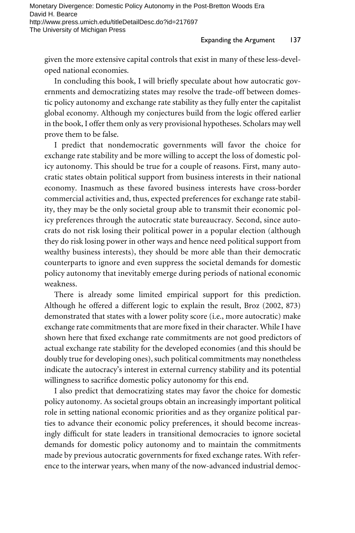given the more extensive capital controls that exist in many of these less-developed national economies.

In concluding this book, I will briefly speculate about how autocratic governments and democratizing states may resolve the trade-off between domestic policy autonomy and exchange rate stability as they fully enter the capitalist global economy. Although my conjectures build from the logic offered earlier in the book, I offer them only as very provisional hypotheses. Scholars may well prove them to be false.

I predict that nondemocratic governments will favor the choice for exchange rate stability and be more willing to accept the loss of domestic policy autonomy. This should be true for a couple of reasons. First, many autocratic states obtain political support from business interests in their national economy. Inasmuch as these favored business interests have cross-border commercial activities and, thus, expected preferences for exchange rate stability, they may be the only societal group able to transmit their economic policy preferences through the autocratic state bureaucracy. Second, since autocrats do not risk losing their political power in a popular election (although they do risk losing power in other ways and hence need political support from wealthy business interests), they should be more able than their democratic counterparts to ignore and even suppress the societal demands for domestic policy autonomy that inevitably emerge during periods of national economic weakness.

There is already some limited empirical support for this prediction. Although he offered a different logic to explain the result, Broz (2002, 873) demonstrated that states with a lower polity score (i.e., more autocratic) make exchange rate commitments that are more fixed in their character. While I have shown here that fixed exchange rate commitments are not good predictors of actual exchange rate stability for the developed economies (and this should be doubly true for developing ones), such political commitments may nonetheless indicate the autocracy's interest in external currency stability and its potential willingness to sacrifice domestic policy autonomy for this end.

I also predict that democratizing states may favor the choice for domestic policy autonomy. As societal groups obtain an increasingly important political role in setting national economic priorities and as they organize political parties to advance their economic policy preferences, it should become increasingly difficult for state leaders in transitional democracies to ignore societal demands for domestic policy autonomy and to maintain the commitments made by previous autocratic governments for fixed exchange rates. With reference to the interwar years, when many of the now-advanced industrial democ-